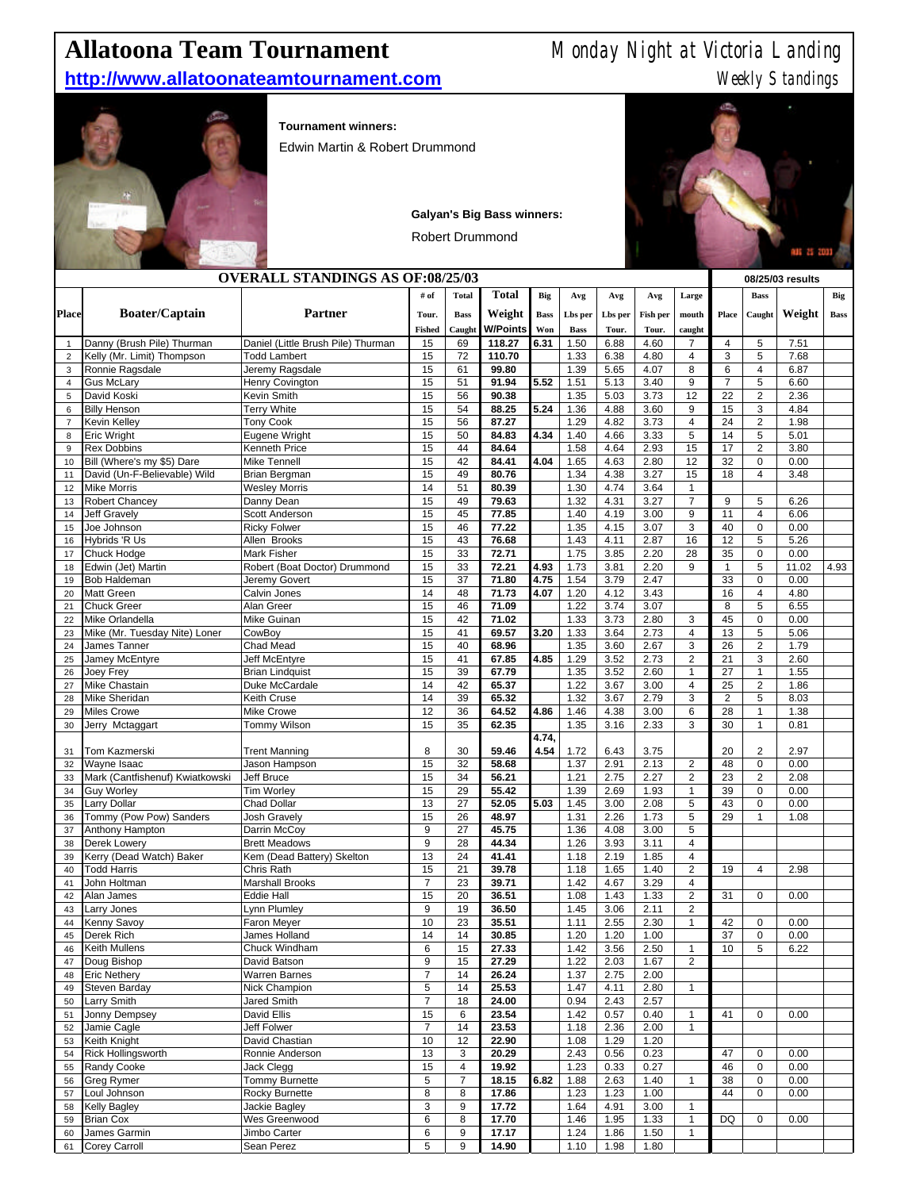## **Allatoona Team Tournament** Monday Night at Victoria Landing

## **http://www.allatoonateamtournament.com** Meekly Standings



**Tournament winners:**

Edwin Martin & Robert Drummond

**Galyan's Big Bass winners:**

Robert Drummond



|                                         |                                          |                                          |                |                     |                 |             |              |              |                  |                                  |                |                            | 935 25 2033  |             |
|-----------------------------------------|------------------------------------------|------------------------------------------|----------------|---------------------|-----------------|-------------|--------------|--------------|------------------|----------------------------------|----------------|----------------------------|--------------|-------------|
| <b>OVERALL STANDINGS AS OF:08/25/03</b> |                                          |                                          |                |                     |                 |             |              |              | 08/25/03 results |                                  |                |                            |              |             |
|                                         |                                          |                                          | # of           | <b>Total</b>        | <b>Total</b>    | <b>Big</b>  | Avg          | Avg          | Avg              | Large                            |                | <b>Bass</b>                |              | Big         |
| Place                                   | <b>Boater/Captain</b>                    | <b>Partner</b>                           | Tour.          | <b>Bass</b>         | Weight          | <b>Bass</b> | Lbs per      | Lbs per      | Fish per         | mouth                            | Place          | Caught                     | Weight       | <b>Bass</b> |
|                                         |                                          |                                          | <b>Fished</b>  | Caught              | <b>W/Points</b> | Won         | <b>Bass</b>  | Tour.        | Tour.            | caught                           |                |                            |              |             |
| $\mathbf{1}$                            | Danny (Brush Pile) Thurman               | Daniel (Little Brush Pile) Thurman       | 15             | 69                  | 118.27          | 6.31        | 1.50         | 6.88         | 4.60             | $\overline{7}$                   | 4              | $\,$ 5 $\,$                | 7.51         |             |
| $\overline{c}$                          | Kelly (Mr. Limit) Thompson               | <b>Todd Lambert</b>                      | 15             | 72                  | 110.70          |             | 1.33         | 6.38         | 4.80             | $\overline{4}$                   | 3              | $\,$ 5 $\,$                | 7.68         |             |
| 3                                       | Ronnie Ragsdale                          | Jeremy Ragsdale                          | 15             | 61                  | 99.80           |             | 1.39         | 5.65         | 4.07             | 8                                | 6              | $\overline{4}$             | 6.87         |             |
| 4                                       | <b>Gus McLary</b>                        | Henry Covington                          | 15             | 51                  | 91.94           | 5.52        | 1.51         | 5.13         | 3.40             | 9                                | $\overline{7}$ | 5                          | 6.60         |             |
| 5                                       | David Koski                              | <b>Kevin Smith</b>                       | 15             | 56                  | 90.38           |             | 1.35         | 5.03         | 3.73             | 12                               | 22             | 2                          | 2.36         |             |
| 6                                       | <b>Billy Henson</b>                      | <b>Terry White</b>                       | 15             | 54                  | 88.25           | 5.24        | 1.36         | 4.88         | 3.60             | 9                                | 15             | 3                          | 4.84         |             |
| $\overline{7}$                          | Kevin Kelley<br><b>Eric Wright</b>       | <b>Tony Cook</b>                         | 15             | 56                  | 87.27           |             | 1.29         | 4.82         | 3.73             | $\overline{4}$<br>5              | 24             | 2                          | 1.98         |             |
| 8<br>9                                  | <b>Rex Dobbins</b>                       | Eugene Wright<br><b>Kenneth Price</b>    | 15<br>15       | 50<br>44            | 84.83<br>84.64  | 4.34        | 1.40<br>1.58 | 4.66<br>4.64 | 3.33<br>2.93     | 15                               | 14<br>17       | $\sqrt{5}$<br>2            | 5.01<br>3.80 |             |
| 10                                      | Bill (Where's my \$5) Dare               | <b>Mike Tennell</b>                      | 15             | 42                  | 84.41           | 4.04        | 1.65         | 4.63         | 2.80             | 12                               | 32             | $\mathbf 0$                | 0.00         |             |
| 11                                      | David (Un-F-Believable) Wild             | <b>Brian Bergman</b>                     | 15             | 49                  | 80.76           |             | 1.34         | 4.38         | 3.27             | 15                               | 18             | $\overline{4}$             | 3.48         |             |
| 12                                      | <b>Mike Morris</b>                       | <b>Wesley Morris</b>                     | 14             | 51                  | 80.39           |             | 1.30         | 4.74         | 3.64             | $\mathbf{1}$                     |                |                            |              |             |
| 13                                      | Robert Chancey                           | Danny Dean                               | 15             | 49                  | 79.63           |             | 1.32         | 4.31         | 3.27             | $\overline{7}$                   | 9              | 5                          | 6.26         |             |
| 14                                      | Jeff Gravely                             | Scott Anderson                           | 15             | 45                  | 77.85           |             | 1.40         | 4.19         | 3.00             | 9                                | 11             | $\overline{4}$             | 6.06         |             |
| 15                                      | Joe Johnson                              | <b>Ricky Folwer</b>                      | 15             | 46                  | 77.22           |             | 1.35         | 4.15         | 3.07             | 3                                | 40             | $\mathbf 0$                | 0.00         |             |
| 16                                      | Hybrids 'R Us                            | Allen Brooks                             | 15             | 43                  | 76.68           |             | 1.43         | 4.11         | 2.87             | 16                               | 12             | 5                          | 5.26         |             |
| 17                                      | Chuck Hodge                              | <b>Mark Fisher</b>                       | 15             | 33                  | 72.71           |             | 1.75         | 3.85         | 2.20             | 28                               | 35             | $\mathbf 0$                | 0.00         |             |
| 18                                      | Edwin (Jet) Martin                       | Robert (Boat Doctor) Drummond            | 15             | 33                  | 72.21           | 4.93        | 1.73         | 3.81         | 2.20             | 9                                | $\mathbf{1}$   | 5                          | 11.02        | 4.93        |
| 19                                      | Bob Haldeman                             | Jeremy Govert                            | 15             | 37                  | 71.80           | 4.75        | 1.54         | 3.79         | 2.47             |                                  | 33             | $\mathbf 0$                | 0.00         |             |
| 20                                      | <b>Matt Green</b>                        | Calvin Jones                             | 14             | 48                  | 71.73           | 4.07        | 1.20         | 4.12         | 3.43             |                                  | 16             | $\overline{4}$             | 4.80         |             |
| 21                                      | <b>Chuck Greer</b>                       | Alan Greer                               | 15             | 46                  | 71.09           |             | 1.22         | 3.74         | 3.07             |                                  | 8              | 5                          | 6.55         |             |
| 22                                      | Mike Orlandella                          | Mike Guinan                              | 15             | 42                  | 71.02           |             | 1.33         | 3.73         | 2.80             | 3                                | 45             | $\mathbf 0$                | 0.00         |             |
| 23                                      | Mike (Mr. Tuesday Nite) Loner            | CowBoy                                   | 15             | 41                  | 69.57           | 3.20        | 1.33         | 3.64         | 2.73             | 4                                | 13             | 5                          | 5.06         |             |
| 24<br>25                                | James Tanner<br>Jamey McEntyre           | <b>Chad Mead</b><br>Jeff McEntyre        | 15<br>15       | 40<br>41            | 68.96<br>67.85  | 4.85        | 1.35<br>1.29 | 3.60<br>3.52 | 2.67<br>2.73     | 3<br>$\overline{2}$              | 26<br>21       | $\overline{c}$<br>3        | 1.79<br>2.60 |             |
| 26                                      | Joey Frey                                | <b>Brian Lindquist</b>                   | 15             | 39                  | 67.79           |             | 1.35         | 3.52         | 2.60             | 1                                | 27             | $\mathbf{1}$               | 1.55         |             |
| 27                                      | Mike Chastain                            | Duke McCardale                           | 14             | 42                  | 65.37           |             | 1.22         | 3.67         | 3.00             | 4                                | 25             | $\mathbf 2$                | 1.86         |             |
| 28                                      | Mike Sheridan                            | <b>Keith Cruse</b>                       | 14             | 39                  | 65.32           |             | 1.32         | 3.67         | 2.79             | 3                                | $\overline{2}$ | 5                          | 8.03         |             |
| 29                                      | <b>Miles Crowe</b>                       | <b>Mike Crowe</b>                        | 12             | 36                  | 64.52           | 4.86        | 1.46         | 4.38         | 3.00             | 6                                | 28             | $\mathbf{1}$               | 1.38         |             |
| 30                                      | Jerry Mctaggart                          | <b>Tommy Wilson</b>                      | 15             | 35                  | 62.35           |             | 1.35         | 3.16         | 2.33             | 3                                | 30             | $\mathbf{1}$               | 0.81         |             |
|                                         |                                          |                                          |                |                     |                 | 4.74,       |              |              |                  |                                  |                |                            |              |             |
| 31                                      | Tom Kazmerski                            | <b>Trent Manning</b>                     | 8              | 30                  | 59.46           | 4.54        | 1.72         | 6.43         | 3.75             |                                  | 20             | $\overline{2}$             | 2.97         |             |
| 32                                      | Wayne Isaac                              | Jason Hampson                            | 15             | 32                  | 58.68           |             | 1.37         | 2.91         | 2.13             | $\overline{2}$                   | 48             | $\mathbf 0$                | 0.00         |             |
| 33                                      | Mark (Cantfishenuf) Kwiatkowski          | Jeff Bruce                               | 15             | 34                  | 56.21           |             | 1.21         | 2.75         | 2.27             | $\overline{2}$                   | 23             | 2                          | 2.08         |             |
| 34                                      | <b>Guy Worley</b>                        | <b>Tim Worley</b>                        | 15             | 29                  | 55.42           |             | 1.39         | 2.69         | 1.93             | $\mathbf{1}$                     | 39             | $\mathbf 0$                | 0.00         |             |
| 35                                      | Larry Dollar                             | <b>Chad Dollar</b>                       | 13             | 27                  | 52.05           | 5.03        | 1.45         | 3.00         | 2.08             | 5                                | 43             | $\mathbf 0$                | 0.00         |             |
| 36                                      | Tommy (Pow Pow) Sanders                  | <b>Josh Gravely</b>                      | 15             | 26                  | 48.97           |             | 1.31         | 2.26         | 1.73             | $\sqrt{5}$                       | 29             | $\mathbf{1}$               | 1.08         |             |
| 37                                      | Anthony Hampton                          | Darrin McCoy                             | 9              | 27                  | 45.75           |             | 1.36         | 4.08         | 3.00             | 5                                |                |                            |              |             |
| 38                                      | Derek Lowery<br>Kerry (Dead Watch) Baker | <b>Brett Meadows</b>                     | 9<br>13        | 28<br>24            | 44.34<br>41.41  |             | 1.26         | 3.93<br>2.19 | 3.11<br>1.85     | $\overline{4}$<br>$\overline{4}$ |                |                            |              |             |
| 39<br>40                                | <b>Todd Harris</b>                       | Kem (Dead Battery) Skelton<br>Chris Rath | 15             | 21                  | 39.78           |             | 1.18<br>1.18 | 1.65         | 1.40             | $\overline{2}$                   | 19             | $\overline{4}$             | 2.98         |             |
| 41                                      | John Holtman                             | <b>Marshall Brooks</b>                   | $\overline{7}$ | 23                  | 39.71           |             | 1.42         | 4.67         | 3.29             | 4                                |                |                            |              |             |
| 42                                      | Alan James                               | <b>Eddie Hall</b>                        | 15             | 20                  | 36.51           |             | 1.08         | 1.43         | 1.33             | $\overline{2}$                   | 31             | $\mathbf 0$                | 0.00         |             |
| 43                                      | Larry Jones                              | Lynn Plumley                             | 9              | 19                  | 36.50           |             | 1.45         | 3.06         | 2.11             | $\overline{2}$                   |                |                            |              |             |
| 44                                      | Kenny Savoy                              | Faron Meyer                              | 10             | 23                  | 35.51           |             | 1.11         | 2.55         | 2.30             | $\mathbf{1}$                     | 42             | $\mathsf 0$                | 0.00         |             |
| 45                                      | Derek Rich                               | James Holland                            | 14             | 14                  | 30.85           |             | 1.20         | 1.20         | 1.00             |                                  | 37             | $\mathbf 0$                | 0.00         |             |
| 46                                      | Keith Mullens                            | Chuck Windham                            | 6              | 15                  | 27.33           |             | 1.42         | 3.56         | 2.50             | $\mathbf{1}$                     | 10             | 5                          | 6.22         |             |
| 47                                      | Doug Bishop                              | David Batson                             | 9              | 15                  | 27.29           |             | 1.22         | 2.03         | 1.67             | $\overline{c}$                   |                |                            |              |             |
| 48                                      | <b>Eric Nethery</b>                      | <b>Warren Barnes</b>                     | $\overline{7}$ | 14                  | 26.24           |             | 1.37         | 2.75         | 2.00             |                                  |                |                            |              |             |
| 49                                      | Steven Barday                            | Nick Champion                            | 5              | 14                  | 25.53           |             | 1.47         | 4.11         | 2.80             | $\mathbf{1}$                     |                |                            |              |             |
| 50                                      | Larry Smith                              | Jared Smith                              | $\overline{7}$ | 18                  | 24.00           |             | 0.94         | 2.43         | 2.57             |                                  |                |                            |              |             |
| 51                                      | Jonny Dempsey                            | David Ellis                              | 15             | 6                   | 23.54           |             | 1.42         | 0.57         | 0.40             | 1                                | 41             | $\mathbf 0$                | 0.00         |             |
| 52                                      | Jamie Cagle                              | Jeff Folwer                              | $\overline{7}$ | 14                  | 23.53           |             | 1.18         | 2.36         | 2.00             | $\mathbf{1}$                     |                |                            |              |             |
| 53                                      | Keith Knight                             | David Chastian                           | 10             | 12                  | 22.90           |             | 1.08         | 1.29         | 1.20             |                                  |                |                            |              |             |
| 54                                      | <b>Rick Hollingsworth</b><br>Randy Cooke | Ronnie Anderson<br>Jack Clegg            | 13             | 3                   | 20.29           |             | 2.43         | 0.56         | 0.23             |                                  | 47<br>46       | $\mathbf 0$<br>$\mathbf 0$ | 0.00<br>0.00 |             |
| 55                                      | <b>Greg Rymer</b>                        | <b>Tommy Burnette</b>                    | 15<br>5        | 4<br>$\overline{7}$ | 19.92<br>18.15  | 6.82        | 1.23<br>1.88 | 0.33<br>2.63 | 0.27<br>1.40     | 1                                | 38             | $\mathbf 0$                | 0.00         |             |
| 56                                      | 57 Loul Johnson                          | Rocky Burnette                           | 8              | 8                   | 17.86           |             | 1.23         | 1.23         | 1.00             |                                  | 44             | $\mathbf 0$                | 0.00         |             |
|                                         | 58 Kelly Bagley                          | Jackie Bagley                            | 3              | 9                   | 17.72           |             | 1.64         | 4.91         | 3.00             | $\mathbf{1}$                     |                |                            |              |             |
|                                         |                                          |                                          |                |                     |                 |             |              |              |                  |                                  |                |                            |              |             |

Brian Cox Wes Greenwood 6 8 **17.70** 1.46 1.95 1.33 1 DQ 0 0.00

 James Garmin Jimbo Carter 6 9 **17.17** 1.24 1.86 1.50 1 Corey Carroll Sean Perez 5 9 **14.90** 1.10 1.98 1.80